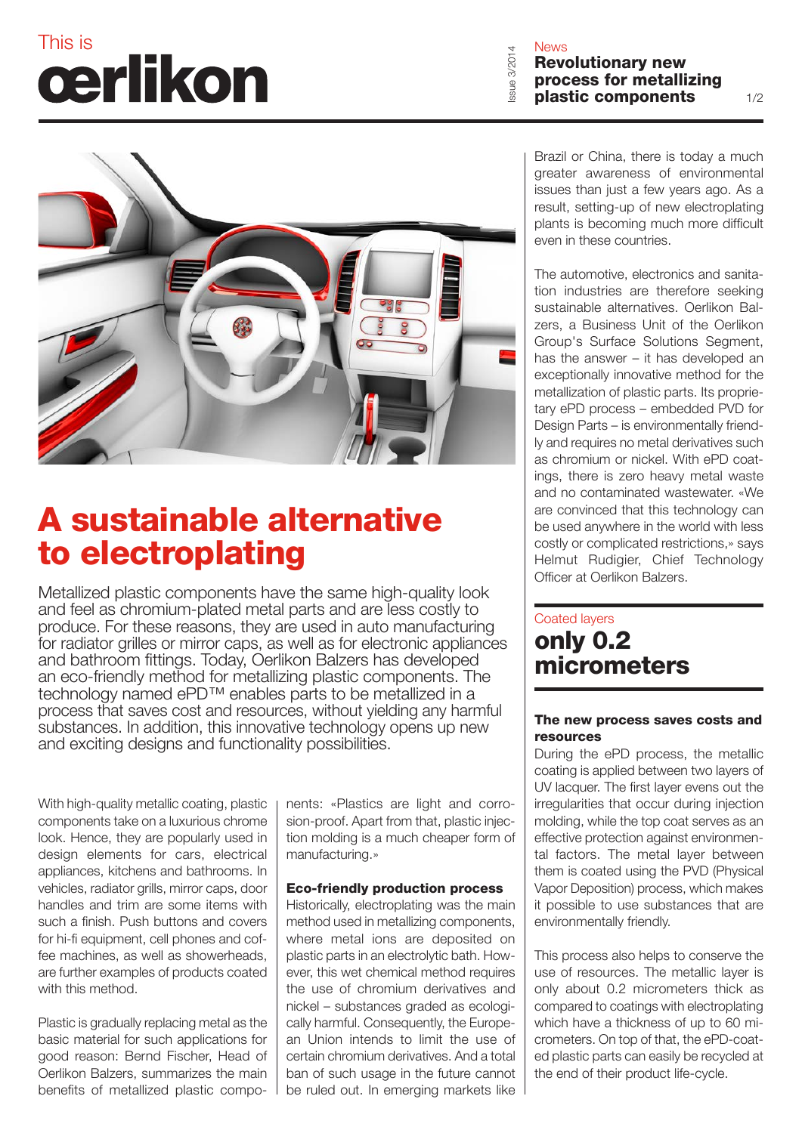# This is  $\theta$

Revolutionary new process for metallizing Issue 3/2014 plastic components



### A sustainable alternative to electroplating

Metallized plastic components have the same high-quality look and feel as chromium-plated metal parts and are less costly to produce. For these reasons, they are used in auto manufacturing for radiator grilles or mirror caps, as well as for electronic appliances and bathroom fittings. Today, Oerlikon Balzers has developed an eco-friendly method for metallizing plastic components. The technology named ePD™ enables parts to be metallized in a process that saves cost and resources, without yielding any harmful substances. In addition, this innovative technology opens up new and exciting designs and functionality possibilities.

With high-quality metallic coating, plastic components take on a luxurious chrome look. Hence, they are popularly used in design elements for cars, electrical appliances, kitchens and bathrooms. In vehicles, radiator grills, mirror caps, door handles and trim are some items with such a finish. Push buttons and covers for hi-fi equipment, cell phones and coffee machines, as well as showerheads, are further examples of products coated with this method.

Plastic is gradually replacing metal as the basic material for such applications for good reason: Bernd Fischer, Head of Oerlikon Balzers, summarizes the main benefits of metallized plastic components: «Plastics are light and corrosion-proof. Apart from that, plastic injection molding is a much cheaper form of manufacturing.»

#### Eco-friendly production process

Historically, electroplating was the main method used in metallizing components, where metal ions are deposited on plastic parts in an electrolytic bath. However, this wet chemical method requires the use of chromium derivatives and nickel – substances graded as ecologically harmful. Consequently, the European Union intends to limit the use of certain chromium derivatives. And a total ban of such usage in the future cannot be ruled out. In emerging markets like Brazil or China, there is today a much greater awareness of environmental issues than just a few years ago. As a result, setting-up of new electroplating plants is becoming much more difficult even in these countries.

The automotive, electronics and sanitation industries are therefore seeking sustainable alternatives. Oerlikon Balzers, a Business Unit of the Oerlikon Group's Surface Solutions Segment, has the answer – it has developed an exceptionally innovative method for the metallization of plastic parts. Its proprietary ePD process – embedded PVD for Design Parts – is environmentally friendly and requires no metal derivatives such as chromium or nickel. With ePD coatings, there is zero heavy metal waste and no contaminated wastewater. «We are convinced that this technology can be used anywhere in the world with less costly or complicated restrictions,» says Helmut Rudigier, Chief Technology Officer at Oerlikon Balzers.

### Coated layers only 0.2 micrometers

#### The new process saves costs and resources

During the ePD process, the metallic coating is applied between two layers of UV lacquer. The first layer evens out the irregularities that occur during injection molding, while the top coat serves as an effective protection against environmental factors. The metal layer between them is coated using the PVD (Physical Vapor Deposition) process, which makes it possible to use substances that are environmentally friendly.

This process also helps to conserve the use of resources. The metallic layer is only about 0.2 micrometers thick as compared to coatings with electroplating which have a thickness of up to 60 micrometers. On top of that, the ePD-coated plastic parts can easily be recycled at the end of their product life-cycle.